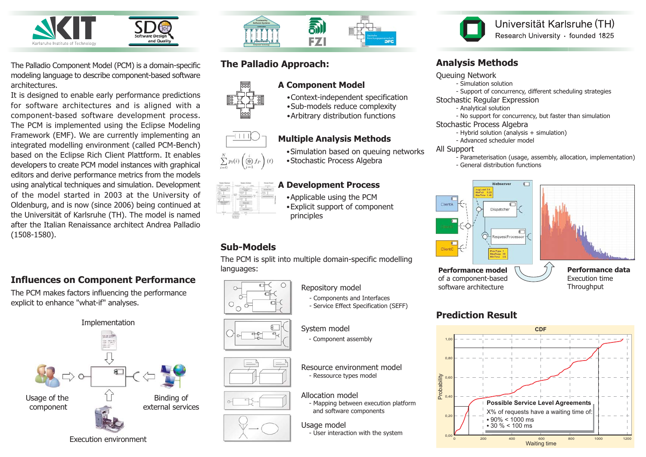

The Palladio Component Model (PCM) is a domain-specific modeling language to describe component-based software architectures.

It is designed to enable early performance predictions for software architectures and is aligned with a component-based software development process. The PCM is implemented using the Eclipse Modeling Framework (EMF). We are currently implementing an integrated modelling environment (called PCM-Bench) based on the Eclipse Rich Client Plattform. It enables developers to create PCM model instances with graphical editors and derive performance metrics from the models using analytical techniques and simulation. Development of the model started in 2003 at the University of Oldenburg, and is now (since 2006) being continued at the Universität of Karlsruhe (TH). The model is named after the Italian Renaissance architect Andrea Palladio  $(1508-1580).$ 

## **Influences on Component Performance**

The PCM makes factors influencing the performance explicit to enhance "what-if" analyses.





# The Palladio Approach:









#### **A** Development Process  $\bullet$  Applicable using the PCM • Explicit support of component principles

Multiple Analysis Methods

•Stochastic Process Algebra

 $\bullet$  Context-independent specification  $\bullet$  Sub-models reduce complexity  $\bullet$  Arbitrary distribution functions

 $\bullet$  Simulation based on queuing networks

# Sub-Models

The PCM is split into multiple domain-specific modelling **languages:** *a <b> <i>s <b> <i>s s <b>Performance model* 



Repository model

- Components and Interfaces - Service Effect Specification (SEFF)

#### System model

- Component assembly

Resource environment model - Ressource types model

## Allocation model

- Mapping between execution platform and software components

#### Usage model

- User interaction with the system



Universität Karlsruhe (TH) Research University · founded 1825

## Analysis Methods

#### Queuing Network

- Simulation solution
- Support of concurrency, different scheduling strategies

#### Stochastic Regular Expression

- Analytical solution
- No support for concurrency, but faster than simulation

#### Stochastic Process Algebra

- Hybrid solution (analysis + simulation)
- Advanced scheduler model

#### All Support

- Parameterisation (usage, assembly, allocation, implementation) - General distribution functions



# **Prediction Result**